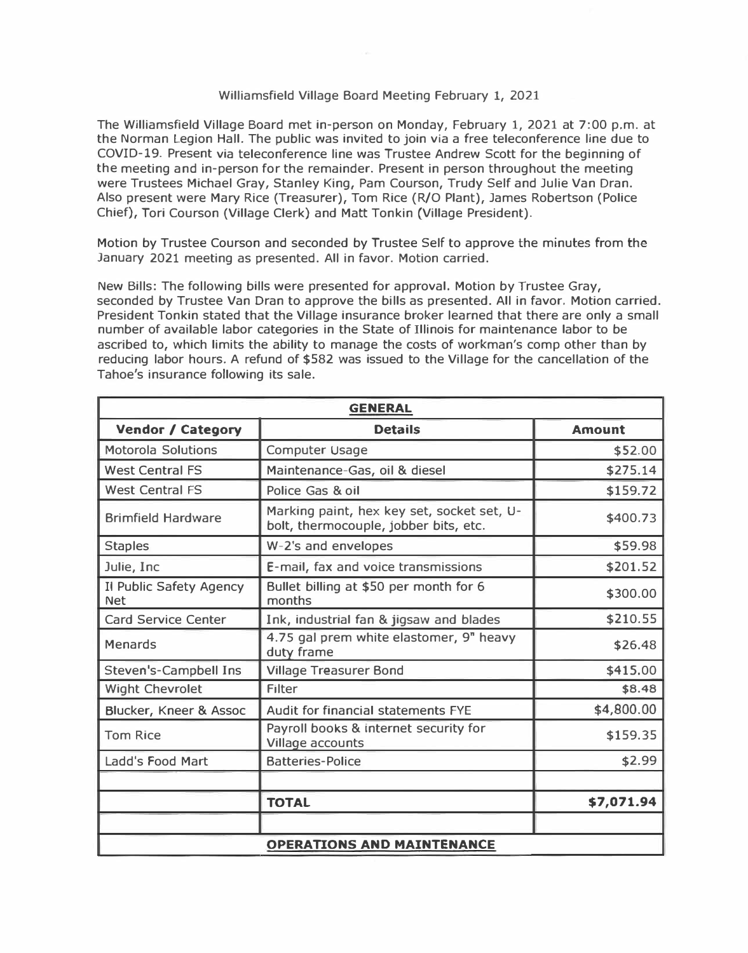## Williamsfield Village Board Meeting February 1, 2021

The Williamsfield Village Board met in-person on Monday, February 1, 2021 at 7:00 p.m. at the Norman Legion Hall. The public was invited to join via a free teleconference line due to COVID-19. Present via teleconference line was Trustee Andrew Scott for the beginning of the meeting and in-person for the remainder. Present in person throughout the meeting were Trustees Michael Gray, Stanley King, Pam Courson, Trudy Self and Julie Van Dran. Also present were Mary Rice (Treasurer), Tom Rice (R/O Plant), James Robertson (Police Chief), Tori Courson (Village Clerk) and Matt Tonkin (Village President).

Motion by Trustee Courson and seconded by Trustee Self to approve the minutes from the January 2021 meeting as presented. All in favor. Motion carried.

New Bills: The following bills were presented for approval. Motion by Trustee Gray, seconded by Trustee Van Oran to approve the bills as presented. All in favor. Motion carried. President Tonkin stated that the Village insurance broker learned that there are only a small number of available labor categories in the State of Illinois for maintenance labor to be ascribed to, which limits the ability to manage the costs of workman's comp other than by reducing labor hours. A refund of \$582 was issued to the Village for the cancellation of the Tahoe's insurance following its sale.

| <b>GENERAL</b>                        |                                                                                     |               |  |  |
|---------------------------------------|-------------------------------------------------------------------------------------|---------------|--|--|
| <b>Vendor / Category</b>              | <b>Details</b>                                                                      | <b>Amount</b> |  |  |
| <b>Motorola Solutions</b>             | <b>Computer Usage</b>                                                               | \$52.00       |  |  |
| <b>West Central FS</b>                | Maintenance-Gas, oil & diesel                                                       | \$275.14      |  |  |
| <b>West Central FS</b>                | Police Gas & oil                                                                    | \$159.72      |  |  |
| <b>Brimfield Hardware</b>             | Marking paint, hex key set, socket set, U-<br>bolt, thermocouple, jobber bits, etc. | \$400.73      |  |  |
| <b>Staples</b>                        | W-2's and envelopes                                                                 | \$59.98       |  |  |
| Julie, Inc.                           | E-mail, fax and voice transmissions                                                 | \$201.52      |  |  |
| Il Public Safety Agency<br><b>Net</b> | Bullet billing at \$50 per month for 6<br>months                                    | \$300.00      |  |  |
| <b>Card Service Center</b>            | Ink, industrial fan & jigsaw and blades                                             | \$210.55      |  |  |
| <b>Menards</b>                        | 4.75 gal prem white elastomer, 9" heavy<br>duty frame                               | \$26.48       |  |  |
| Steven's-Campbell Ins                 | <b>Village Treasurer Bond</b>                                                       | \$415.00      |  |  |
| <b>Wight Chevrolet</b>                | Filter                                                                              | \$8.48        |  |  |
| Blucker, Kneer & Assoc                | Audit for financial statements FYE                                                  | \$4,800.00    |  |  |
| <b>Tom Rice</b>                       | Payroll books & internet security for<br>Village accounts                           | \$159.35      |  |  |
| Ladd's Food Mart                      | <b>Batteries-Police</b>                                                             | \$2.99        |  |  |
|                                       |                                                                                     |               |  |  |
|                                       | <b>TOTAL</b>                                                                        | \$7,071.94    |  |  |
|                                       |                                                                                     |               |  |  |
| <b>OPERATIONS AND MAINTENANCE</b>     |                                                                                     |               |  |  |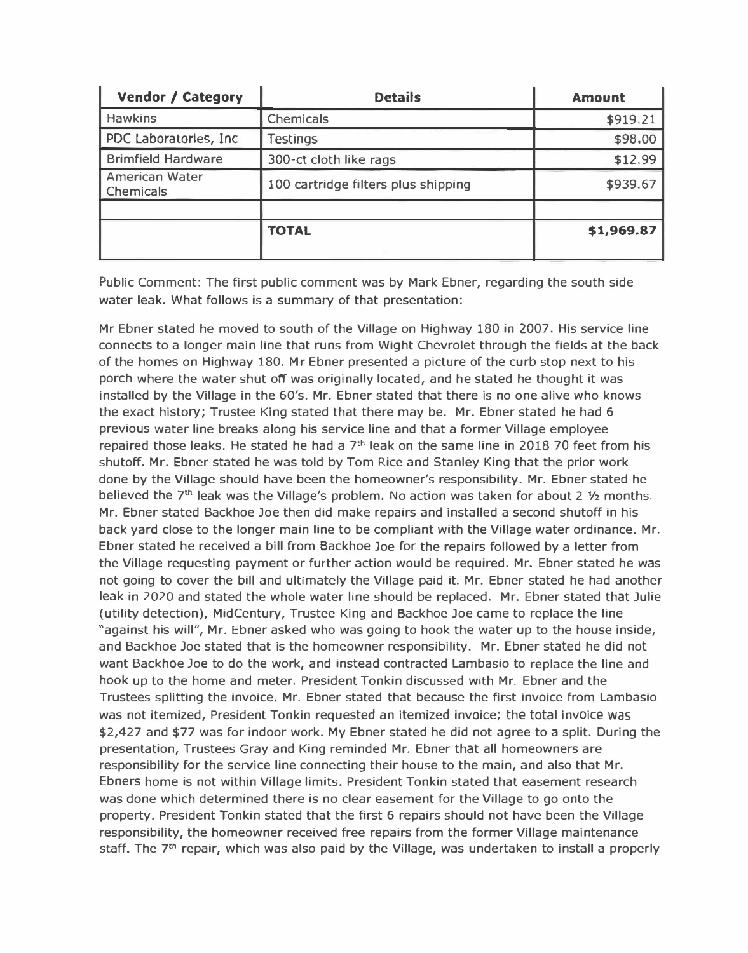|                                     | <b>Amount</b>  |
|-------------------------------------|----------------|
| Chemicals                           | \$919.21       |
| <b>Testings</b>                     | \$98.00        |
| 300-ct cloth like rags              | \$12.99        |
| 100 cartridge filters plus shipping | \$939.67       |
|                                     |                |
| <b>TOTAL</b>                        | \$1,969.87     |
|                                     | <b>Details</b> |

Public Comment: The first public comment was by Mark Ebner, regarding the south side water leak. What follows is a summary of that presentation:

Mr Ebner stated he moved to south of the Village on Highway 180 in 2007. His service line connects to a longer main line that runs from Wight Chevrolet through the fields at the back of the homes on Highway 180. Mr Ebner presented a picture of the curb stop next to his porch where the water shut off was originally located, and he stated he thought it was installed by the Village in the 60's. Mr. Ebner stated that there is no one alive who knows the exact history; Trustee King stated that there may be. Mr. Ebner stated he had 6 previous water line breaks along his service line and that a former Village employee repaired those leaks. He stated he had a  $7<sup>th</sup>$  leak on the same line in 2018 70 feet from his shutoff. Mr. Ebner stated he was told by Tom Rice and Stanley King that the prior work done by the Village should have been the homeowner's responsibility. Mr. Ebner stated he believed the  $7<sup>th</sup>$  leak was the Village's problem. No action was taken for about 2  $\frac{1}{2}$  months. Mr. Ebner stated Backhoe Joe then did make repairs and installed a second shutoff in his back yard close to the longer main line to be compliant with the Village water ordinance. Mr. Ebner stated he received a bill from Backhoe Joe for the repairs followed by a letter from the Village requesting payment or further action would be required. Mr. Ebner stated he was not going to cover the bill and ultimately the Village paid it. Mr. Ebner stated he had another leak in 2020 and stated the whole water line should be replaced. Mr. Ebner stated that Julie (utility detection), MidCentury, Trustee King and Backhoe Joe came to replace the line "against his will", Mr. Ebner asked who was going to hook the water up to the house inside, and Backhoe Joe stated that is the homeowner responsibility. Mr. Ebner stated he did not want Backhoe Joe to do the work, and instead contracted Lambasio to replace the line and hook up to the home and meter. President Tonkin discussed with Mr. Ebner and the Trustees splitting the invoice. Mr. Ebner stated that because the first invoice from Lambasio was not itemized, President Tonkin requested an itemized invoice; the total invoice was \$2,427 and \$77 was for indoor work. My Ebner stated he did not agree to a split. During the presentation, Trustees Gray and King reminded Mr. Ebner that all homeowners are responsibility for the service line connecting their house to the main, and also that Mr. Ebners home is not within Village limits. President Tonkin stated that easement research was done which determined there is no clear easement for the Village to go onto the property. President Tonkin stated that the first 6 repairs should not have been the Village responsibility, the homeowner received free repairs from the former Village maintenance staff. The 7<sup>th</sup> repair, which was also paid by the Village, was undertaken to install a properly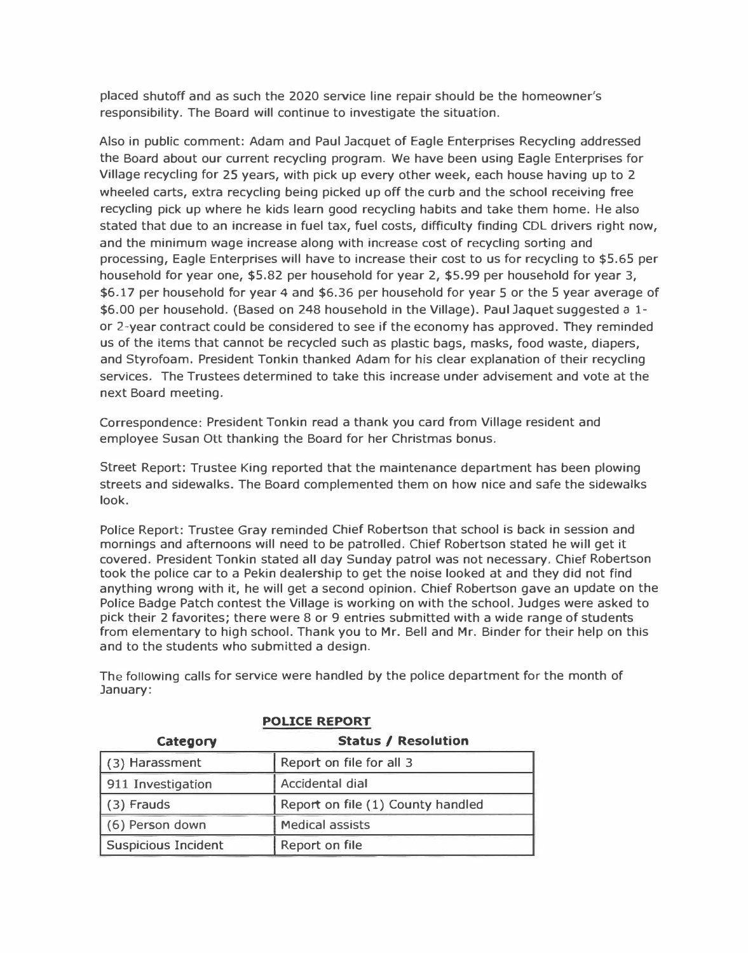placed shutoff and as such the 2020 service line repair should be the homeowner's responsibility. The Board will continue to investigate the situation.

Also in public comment: Adam and Paul Jacquet of Eagle Enterprises Recycling addressed the Board about our current recycling program. We have been using Eagle Enterprises for Village recycling for 25 years, with pick up every other week, each house having up to 2 wheeled carts, extra recycling being picked up off the curb and the school receiving free recycling pick up where he kids learn good recycling habits and take them home. He also stated that due to an increase in fuel tax, fuel costs, difficulty finding CDL drivers right now, and the minimum wage increase along with increase cost of recycling sorting and processing, Eagle Enterprises will have to increase their cost to us for recycling to \$5.65 per household for year one, \$5.82 per household for year 2, \$5.99 per household for year 3, \$6.17 per household for year 4 and \$6.36 per household for year 5 or the 5 year average of \$6.00 per household. (Based on 248 household in the Village). Paul Jaquet suggested a 1 or 2-year contract could be considered to see if the economy has approved. They reminded us of the items that cannot be recycled such as plastic bags, masks, food waste, diapers, and Styrofoam. President Tonkin thanked Adam for his clear explanation of their recycling services. The Trustees determined to take this increase under advisement and vote at the next Board meeting.

Correspondence: President Tonkin read a thank you card from Village resident and employee Susan Ott thanking the Board for her Christmas bonus.

Street Report: Trustee King reported that the maintenance department has been plowing streets and sidewalks. The Board complemented them on how nice and safe the sidewalks look.

Police Report: Trustee Gray reminded Chief Robertson that school is back in session and mornings and afternoons will need to be patrolled. Chief Robertson stated he will get it covered. President Tonkin stated all day Sunday patrol was not necessary. Chief Robertson took the police car to a Pekin dealership to get the noise looked at and they did not find anything wrong with it, he will get a second opinion. Chief Robertson gave an update on the Police Badge Patch contest the Village is working on with the school. Judges were asked to pick their 2 favorites; there were 8 or 9 entries submitted with a wide range of students from elementary to high school. Thank you to Mr. Bell and Mr. Binder for their help on this and to the students who submitted a design.

| <b>POLICE REPORT</b>                   |                                   |  |  |
|----------------------------------------|-----------------------------------|--|--|
| <b>Status / Resolution</b><br>Category |                                   |  |  |
| (3) Harassment                         | Report on file for all 3          |  |  |
| 911 Investigation                      | Accidental dial                   |  |  |
| (3) Frauds                             | Report on file (1) County handled |  |  |
| (6) Person down                        | <b>Medical assists</b>            |  |  |
| <b>Suspicious Incident</b>             | Report on file                    |  |  |

The following calls for service were handled by the police department for the month of January: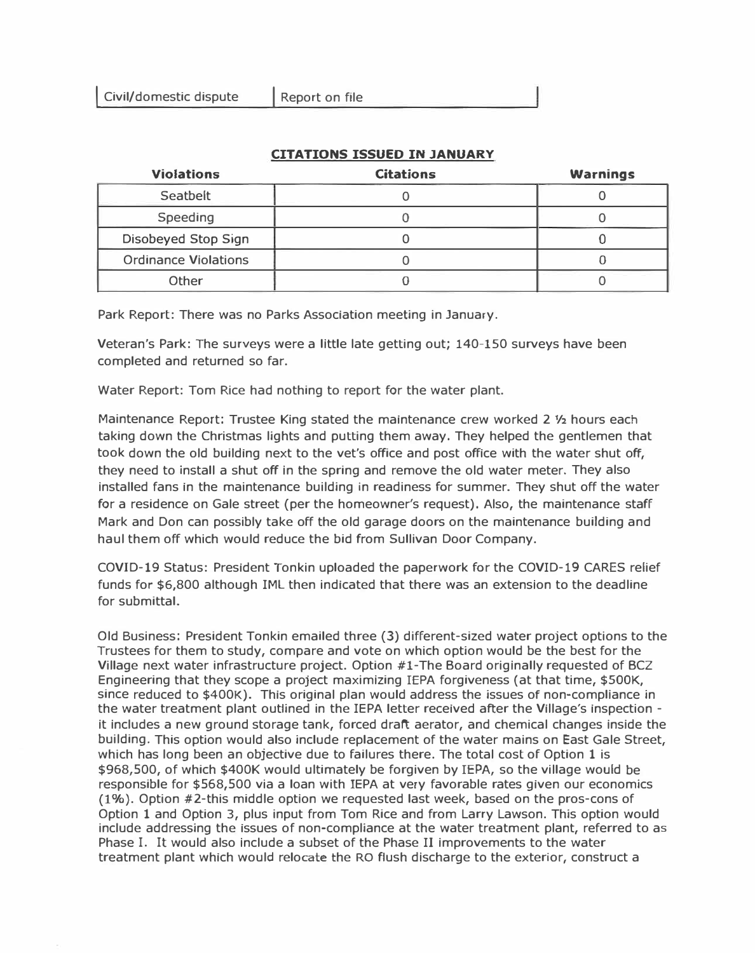| <b>Violations</b>           | <b>Citations</b> | <b>Warnings</b> |
|-----------------------------|------------------|-----------------|
| Seatbelt                    |                  |                 |
| Speeding                    |                  |                 |
| Disobeyed Stop Sign         |                  |                 |
| <b>Ordinance Violations</b> |                  |                 |
| Other                       |                  |                 |

## **CITATIONS ISSUED IN JANUARY**

Park Report: There was no Parks Association meeting in January.

Veteran's Park: The surveys were a little late getting out; 140-150 surveys have been completed and returned so far.

Water Report: Tom Rice had nothing to report for the water plant.

Maintenance Report: Trustee King stated the maintenance crew worked 2 ½ hours each taking down the Christmas lights and putting them away. They helped the gentlemen that took down the old building next to the vet's office and post office with the water shut off, they need to install a shut off in the spring and remove the old water meter. They also installed fans in the maintenance building in readiness for summer. They shut off the water for a residence on Gale street (per the homeowner's request). Also, the maintenance staff Mark and Don can possibly take off the old garage doors on the maintenance building and haul them off which would reduce the bid from Sullivan Door Company.

COVID-19 Status: President Tonkin uploaded the paperwork for the COVID-19 CARES relief funds for \$6,800 although IML then indicated that there was an extension to the deadline for submittal.

Old Business: President Tonkin emailed three (3) different-sized water project options to the Trustees for them to study, compare and vote on which option would be the best for the Village next water infrastructure project. Option #1-The Board originally requested of BCZ Engineering that they scope a project maximizing !EPA forgiveness (at that time, \$SOOK, since reduced to \$400K). This original plan would address the issues of non-compliance in the water treatment plant outlined in the IEPA letter received after the Village's inspection it includes a new ground storage tank, forced draft aerator, and chemical changes inside the building. This option would also include replacement of the water mains on East Gale Street, which has long been an objective due to failures there. The total cost of Option 1 is \$968,500, of which \$400K would ultimately be forgiven by !EPA, so the village would be responsible for \$568,500 via a loan with IEPA at very favorable rates given our economics (1%). Option #2-this middle option we requested last week, based on the pros-cons of Option 1 and Option 3, plus input from Tom Rice and from Larry Lawson. This option would include addressing the issues of non-compliance at the water treatment plant, referred to as Phase **I. It** would also include a subset of the Phase II improvements to the water treatment plant which would relocate the RO flush discharge to the exterior, construct a